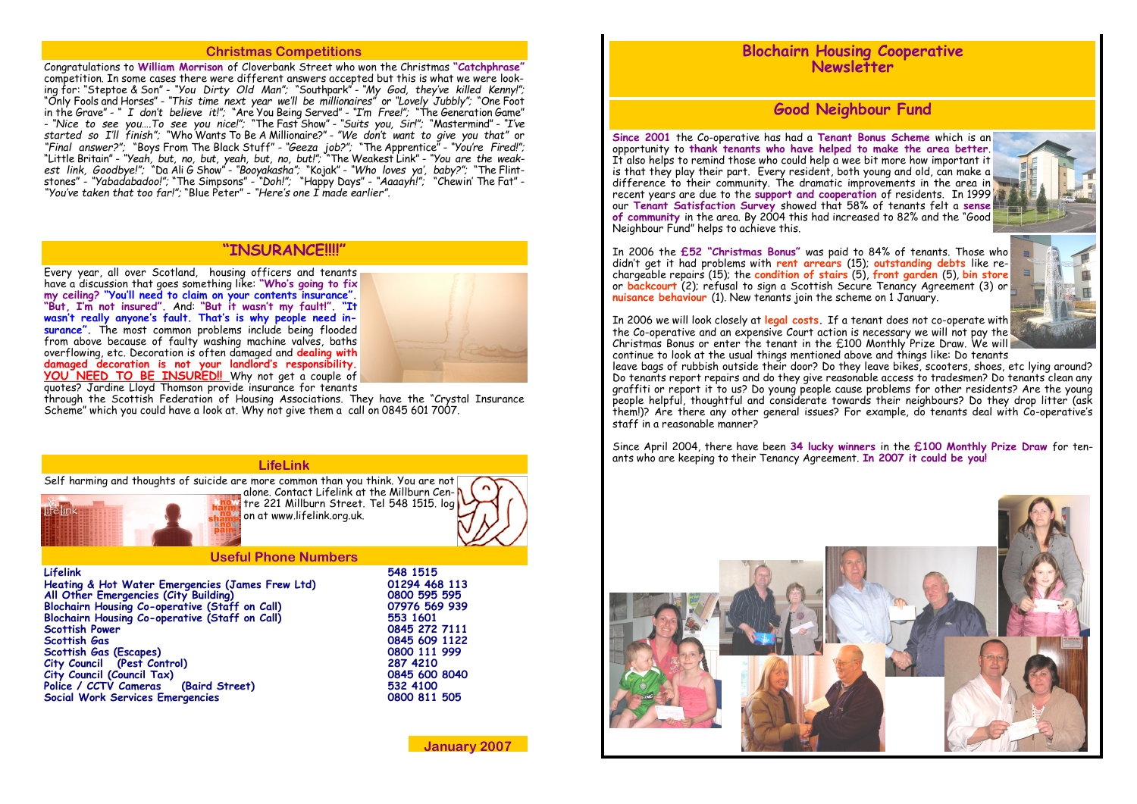## **Christmas Competitions**

Congratulations to **William Morrison** of Cloverbank Street who won the Christmas **"Catchphrase"** competition. In some cases there were different answers accepted but this is what we were looking for: "Steptoe & Son" - *"You Dirty Old Man";* "Southpark" - *"My God, they've killed Kenny!";*  "Only Fools and Horses" - *"This time next year we'll be millionaires"* or *"Lovely Jubbly";* "One Foot in the Grave" - *" I don't believe it!";* "Are You Being Served" - *"I'm Free!";* "The Generation Game" - *"Nice to see you….To see you nice!";* "The Fast Show" - *"Suits you, Sir!";* "Mastermind" - *"I've started so I'll finish";* "Who Wants To Be A Millionaire?" - *"We don't want to give you that"* or *"Final answer?";* "Boys From The Black Stuff" - *"Geeza job?";* "The Apprentice" - *"You're Fired!";*  "Little Britain" - *"Yeah, but, no, but, yeah, but, no, but!";* "The Weakest Link" - *"You are the weakest link, Goodbye!";* "Da Ali G Show" - *"Booyakasha";* "Kojak" - *"Who loves ya', baby?";* "The Flintstones" - *"Yabadabadoo!";* "The Simpsons" - *"Doh!";* "Happy Days" - *"Aaaayh!";* "Chewin' The Fat" - *"You've taken that too far!";* "Blue Peter" - *"Here's one I made earlier".* 

Self harming and thoughts of suicide are more common than you think. You are not alone. Contact Lifelink at the Millburn Centre 221 Millburn Street. Tel 548 1515. log on at www.lifelink.org.uk.

#### **Useful Phone Numbers**

Every year, all over Scotland, housing officers and tenants have a discussion that goes something like: **"Who's going to fix my ceiling? "You'll need to claim on your contents insurance". "But, I'm not insured".** And: **"But it wasn't my fault!". "It wasn't really anyone's fault. That's is why people need insurance".** The most common problems include being flooded from above because of faulty washing machine valves, baths overflowing, etc. Decoration is often damaged and **dealing with damaged decoration is not your landlord's responsibility. YOU NEED TO BE INSURED!!** Why not get a couple of



**Lifelink 548 1515 Heating & Hot Water Emergencies (James Frew Ltd) 01294 468 113 All Other Emergencies (City Building) 0800 595 595 Blochairn Housing Co-operative (Staff on Call)** 07976 569<br>Blochairn Housing Co-operative (Staff on Call) 553 1601 **Blochairn Housing Co-operative (Staff on Call) 553 1601 Scottish Power 0845 272 7111 Scottish Gas 0845 609 1122 Scottish Gas (Escapes) 0800 111**<br> **City Council (Pest Control)** 287 4210 **City Council (Pest Control) 287 4210 City Council (Council Tax) Police / CCTV Cameras (Baird Street) 532 4100 Social Work Services Emergencies 0800 811 505**

**January 2007**

#### **LifeLink**

## **"INSURANCE!!!!"**

quotes? Jardine Lloyd Thomson provide insurance for tenants

through the Scottish Federation of Housing Associations. They have the "Crystal Insurance Scheme" which you could have a look at. Why not give them a call on 0845 601 7007.

# **Blochairn Housing Cooperative Newsletter**

# **Good Neighbour Fund**

**Since 2001** the Co-operative has had a **Tenant Bonus Scheme** which is an opportunity to **thank tenants who have helped to make the area better**. It also helps to remind those who could help a wee bit more how important it is that they play their part. Every resident, both young and old, can make a difference to their community. The dramatic improvements in the area in recent years are due to the **support and cooperation** of residents. In 1999 our **Tenant Satisfaction Survey** showed that 58% of tenants felt a **sense of community** in the area. By 2004 this had increased to 82% and the "Good Neighbour Fund" helps to achieve this.

In 2006 the **£52 "Christmas Bonus"** was paid to 84% of tenants. Those who didn't get it had problems with **rent arrears** (15); **outstanding debts** like rechargeable repairs (15); the **condition of stairs** (5), **front garden** (5), **bin store**  or **backcourt** (2); refusal to sign a Scottish Secure Tenancy Agreement (3) or **nuisance behaviour** (1). New tenants join the scheme on 1 January.

In 2006 we will look closely at **legal costs.** If a tenant does not co-operate with the Co-operative and an expensive Court action is necessary we will not pay the Christmas Bonus or enter the tenant in the £100 Monthly Prize Draw. We will continue to look at the usual things mentioned above and things like: Do tenants leave bags of rubbish outside their door? Do they leave bikes, scooters, shoes, etc lying around? Do tenants report repairs and do they give reasonable access to tradesmen? Do tenants clean any graffiti or report it to us? Do young people cause problems for other residents? Are the young people helpful, thoughtful and considerate towards their neighbours? Do they drop litter (ask them!)? Are there any other general issues? For example, do tenants deal with Co-operative's staff in a reasonable manner?

Since April 2004, there have been **34 lucky winners** in the **£100 Monthly Prize Draw** for tenants who are keeping to their Tenancy Agreement. **In 2007 it could be you!**